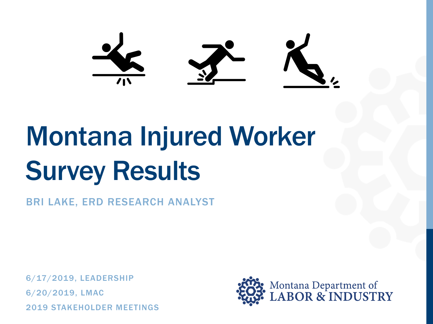# Montana Injured Worker Survey Results

BRI LAKE, ERD RESEARCH ANALYST

6/17/2019, LEADERSHIP 6/20/2019, LMAC 2019 STAKEHOLDER MEETINGS

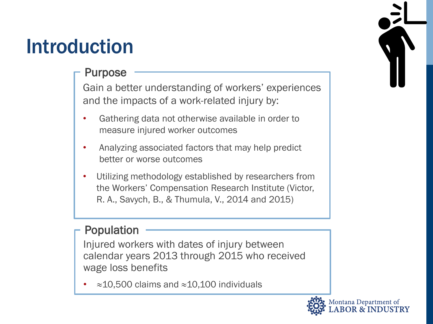### Introduction

#### Purpose

Gain a better understanding of workers' experiences and the impacts of a work-related injury by:

- Gathering data not otherwise available in order to measure injured worker outcomes
- Analyzing associated factors that may help predict better or worse outcomes
- Utilizing methodology established by researchers from the Workers' Compensation Research Institute (Victor, R. A., Savych, B., & Thumula, V., 2014 and 2015)

#### Population

Injured workers with dates of injury between calendar years 2013 through 2015 who received wage loss benefits

• ≈10,500 claims and ≈10,100 individuals



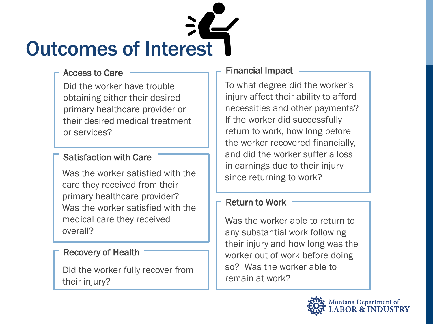

Did the worker have trouble obtaining either their desired primary healthcare provider or their desired medical treatment or services?

#### Satisfaction with Care

Was the worker satisfied with the care they received from their primary healthcare provider? Was the worker satisfied with the medical care they received overall?

#### Recovery of Health

Did the worker fully recover from their injury?

#### Access to Care **Financial Impact**

To what degree did the worker's injury affect their ability to afford necessities and other payments? If the worker did successfully return to work, how long before the worker recovered financially, and did the worker suffer a loss in earnings due to their injury since returning to work?

#### Return to Work

Was the worker able to return to any substantial work following their injury and how long was the worker out of work before doing so? Was the worker able to remain at work?

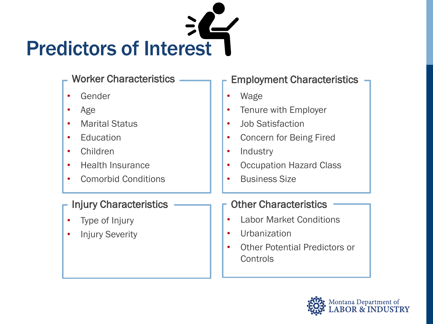

- Gender
- Age
- Marital Status
- Education
- Children
- Health Insurance
- Comorbid Conditions

#### Injury Characteristics

- Type of Injury
- **Injury Severity**

#### Worker Characteristics — F Employment Characteristics

- Wage
- Tenure with Employer
- Job Satisfaction
- Concern for Being Fired
- Industry
- Occupation Hazard Class
- Business Size

#### Other Characteristics

- Labor Market Conditions
- Urbanization
- Other Potential Predictors or **Controls**

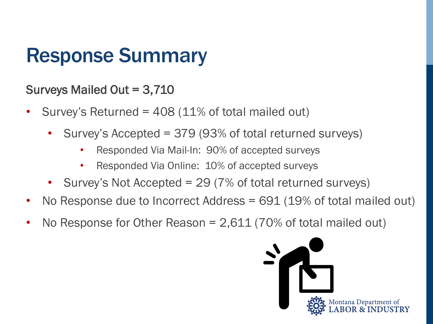### Response Summary

#### Surveys Mailed Out = 3,710

- Survey's Returned =  $408$  (11% of total mailed out)
	- Survey's Accepted = 379 (93% of total returned surveys)
		- Responded Via Mail-In: 90% of accepted surveys
		- Responded Via Online: 10% of accepted surveys
	- Survey's Not Accepted = 29 (7% of total returned surveys)
- No Response due to Incorrect Address = 691 (19% of total mailed out)
- No Response for Other Reason  $= 2,611$  (70% of total mailed out)

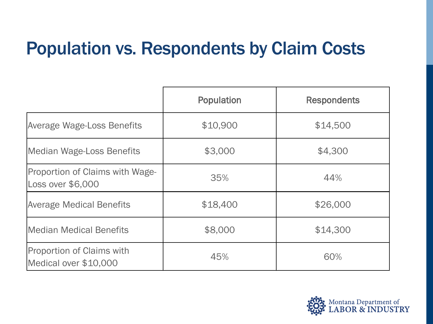#### Population vs. Respondents by Claim Costs

|                                                      | <b>Population</b> | <b>Respondents</b> |  |
|------------------------------------------------------|-------------------|--------------------|--|
| <b>Average Wage-Loss Benefits</b>                    | \$10,900          | \$14,500           |  |
| <b>Median Wage-Loss Benefits</b>                     | \$3,000           | \$4,300            |  |
| Proportion of Claims with Wage-<br>Loss over \$6,000 | 35%               | 44%                |  |
| <b>Average Medical Benefits</b>                      | \$18,400          | \$26,000           |  |
| <b>Median Medical Benefits</b>                       | \$8,000           | \$14,300           |  |
| Proportion of Claims with<br>Medical over \$10,000   | 45%               | 60%                |  |

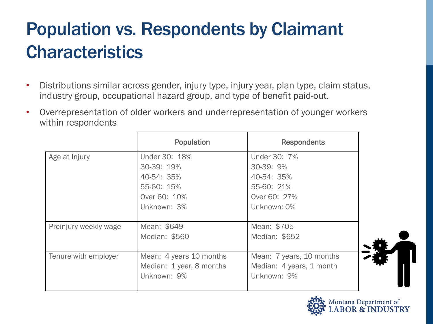### Population vs. Respondents by Claimant **Characteristics**

- Distributions similar across gender, injury type, injury year, plan type, claim status, industry group, occupational hazard group, and type of benefit paid-out.
- Overrepresentation of older workers and underrepresentation of younger workers within respondents

|                       | Population               | <b>Respondents</b>       |
|-----------------------|--------------------------|--------------------------|
| Age at Injury         | Under 30: 18%            | Under 30: 7%             |
|                       | 30-39: 19%               | 30-39: 9%                |
|                       | 40-54: 35%               | 40-54: 35%               |
|                       | 55-60: 15%               | 55-60: 21%               |
|                       | Over 60: 10%             | Over 60: 27%             |
|                       | Unknown: 3%              | Unknown: 0%              |
|                       |                          |                          |
| Preinjury weekly wage | Mean: \$649              | Mean: \$705              |
|                       | Median: \$560            | Median: \$652            |
|                       |                          |                          |
| Tenure with employer  | Mean: 4 years 10 months  | Mean: 7 years, 10 months |
|                       | Median: 1 year, 8 months | Median: 4 years, 1 month |
|                       | Unknown: 9%              | Unknown: 9%              |
|                       |                          |                          |

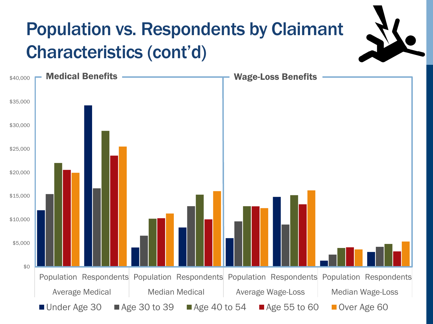### Population vs. Respondents by Claimant Characteristics (cont'd)

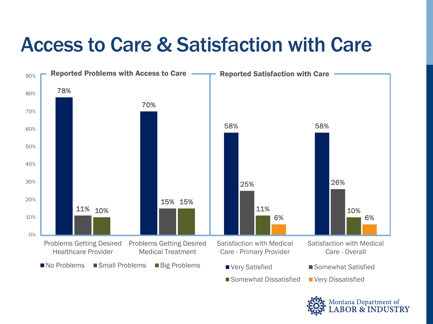### Access to Care & Satisfaction with Care



ontana Department of<br>**ABOR & INDUSTRY**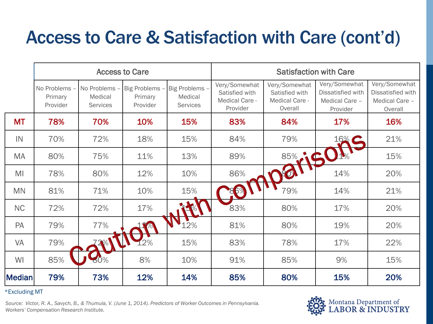### Access to Care & Satisfaction with Care (cont'd)

|               | <b>Access to Care</b>              |                                           |                                       |                                       | <b>Satisfaction with Care</b>                                 |                                                              |                                                                  |                                                                 |
|---------------|------------------------------------|-------------------------------------------|---------------------------------------|---------------------------------------|---------------------------------------------------------------|--------------------------------------------------------------|------------------------------------------------------------------|-----------------------------------------------------------------|
|               | No Problems<br>Primary<br>Provider | No Problems<br>Medical<br><b>Services</b> | Big Problems -<br>Primary<br>Provider | Big Problems -<br>Medical<br>Services | Very/Somewhat<br>Satisfied with<br>Medical Care -<br>Provider | Very/Somewhat<br>Satisfied with<br>Medical Care -<br>Overall | Very/Somewhat<br>Dissatisfied with<br>Medical Care -<br>Provider | Very/Somewhat<br>Dissatisfied with<br>Medical Care -<br>Overall |
| <b>MT</b>     | 78%                                | 70%                                       | 10%                                   | 15%                                   | 83%                                                           | 84%                                                          | 17%                                                              | 16%                                                             |
| IN            | 70%                                | 72%                                       | 18%                                   | 15%                                   | 84%                                                           | 79%                                                          | 16%                                                              | 21%                                                             |
| <b>MA</b>     | 80%                                | 75%                                       | 11%                                   | 13%                                   | 89%                                                           | 85% C                                                        |                                                                  | 15%                                                             |
| MI            | 78%                                | 80%                                       | 12%                                   | 10%                                   | 86%                                                           |                                                              | 14%                                                              | 20%                                                             |
| <b>MN</b>     | 81%                                | 71%                                       | 10%                                   | 15%                                   | 6%                                                            | 79%                                                          | 14%                                                              | 21%                                                             |
| <b>NC</b>     | 72%                                | 72%                                       | 17%                                   |                                       | 83%                                                           | 80%                                                          | 17%                                                              | 20%                                                             |
| PA            | 79%                                | 77%                                       |                                       | 2%                                    | 81%                                                           | 80%                                                          | 19%                                                              | 20%                                                             |
| <b>VA</b>     | 79%                                |                                           | 2%                                    | 15%                                   | 83%                                                           | 78%                                                          | 17%                                                              | 22%                                                             |
| WI            | 85%                                |                                           | 8%                                    | 10%                                   | 91%                                                           | 85%                                                          | 9%                                                               | 15%                                                             |
| <b>Median</b> | 79%                                | 73%                                       | 12%                                   | 14%                                   | 85%                                                           | 80%                                                          | 15%                                                              | 20%                                                             |

#### \*Excluding MT

*Source: Victor, R. A., Savych, B., & Thumula, V. (June 1, 2014). Predictors of Worker Outcomes in Pennsylvania. Workers' Compensation Research Institute.* 

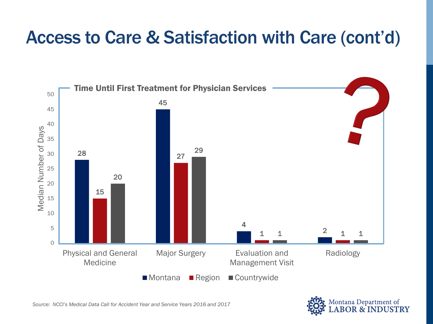#### Access to Care & Satisfaction with Care (cont'd)



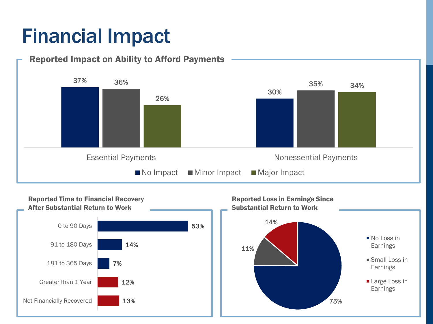### Financial Impact

#### 37% 30% 36% 35% 26% 34% Essential Payments **Nonessential Payments** Nonessential Payments  $\blacksquare$  No Impact  $\blacksquare$  Minor Impact  $\blacksquare$  Major Impact Reported Impact on Ability to Afford Payments

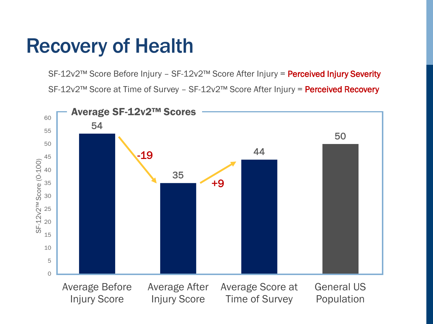### Recovery of Health

SF-12v2™ Score Before Injury - SF-12v2™ Score After Injury = Perceived Injury Severity SF-12v2™ Score at Time of Survey - SF-12v2™ Score After Injury = Perceived Recovery

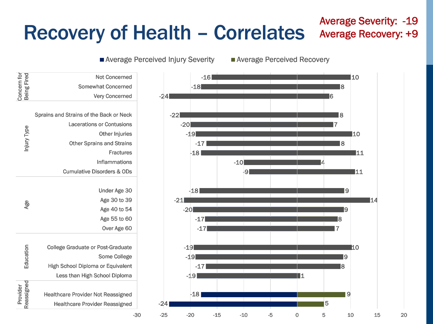## Recovery of Health – Correlates

#### Average Severity: -19 Average Recovery: +9



Average Perceived Injury Severity **Average Perceived Recovery** 

Healthcare Provider Reassigned Healthcare Provider Not Reassigned

Provider<br>Reassigned

Reassigned Education Age Age Injury Type

Education

Age

Concern for Being Fired

Concern for<br>Being Fired

Injury Type

Less than High School Diploma High School Diploma or Equivalent

College Graduate or Post-Graduate

Cumulative Disorders & ODs

Other Sprains and Strains

Lacerations or Contusions

Sprains and Strains of the Back or Neck

Some College

Over Age 60 Age 55 to 60 Age 40 to 54 Age 30 to 39 Under Age 30

**Inflammations Fractures** 

Other Injuries

Very Concerned Somewhat Concerned

Not Concerned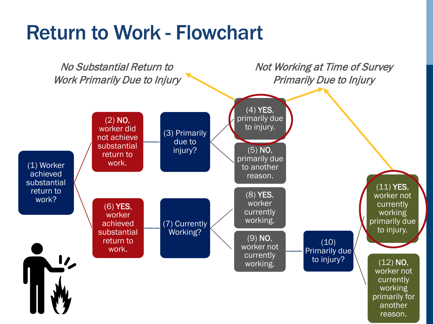### Return to Work - Flowchart

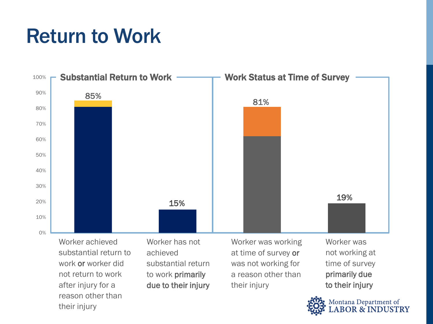### Return to Work



after injury for a reason other than their injury

to work primarily due to their injury

a reason other than their injury

primarily due to their injury

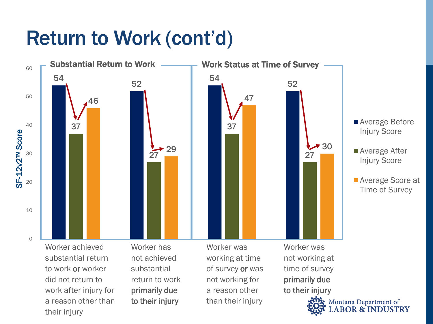### Return to Work (cont'd)

a reason other than

to their injury

their injury



than their injury

Montana Department of OR & INDUSTRY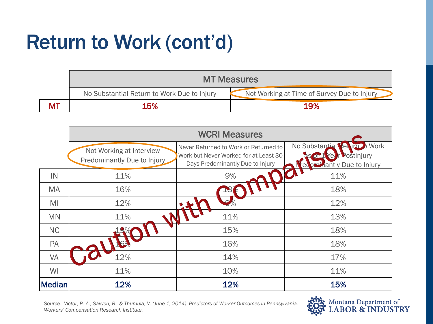## Return to Work (cont'd)

|           | <b>MT Measures</b>                          |                                             |  |  |  |  |
|-----------|---------------------------------------------|---------------------------------------------|--|--|--|--|
|           | No Substantial Return to Work Due to Injury | Not Working at Time of Survey Due to Injury |  |  |  |  |
| <b>MT</b> | 15%                                         | 19%                                         |  |  |  |  |

|               |                                                         | <b>WCRI Measures</b>                                                                                               |                                                                                   |
|---------------|---------------------------------------------------------|--------------------------------------------------------------------------------------------------------------------|-----------------------------------------------------------------------------------|
|               | Not Working at Interview<br>Predominantly Due to Injury | Never Returned to Work or Returned to<br>Work but Never Worked for at Least 30<br>Days Predominantly Due to Injury | No Substantial<br>Work<br><b>Ket</b><br>Postinjury<br><b>Hantly Due to Injury</b> |
| IN            | 11%                                                     | 9%                                                                                                                 | 11%                                                                               |
| <b>MA</b>     | 16%                                                     |                                                                                                                    | 18%                                                                               |
| MI            | 12%                                                     |                                                                                                                    | 12%                                                                               |
| <b>MN</b>     | 11%                                                     | 11%                                                                                                                | 13%                                                                               |
| <b>NC</b>     |                                                         | 15%                                                                                                                | 18%                                                                               |
| PA            |                                                         | 16%                                                                                                                | 18%                                                                               |
| <b>VA</b>     | 12%                                                     | 14%                                                                                                                | 17%                                                                               |
| WI            | 11%                                                     | 10%                                                                                                                | 11%                                                                               |
| <b>Median</b> | 12%                                                     | 12%                                                                                                                | 15%                                                                               |

*Source: Victor, R. A., Savych, B., & Thumula, V. (June 1, 2014). Predictors of Worker Outcomes in Pennsylvania. Workers' Compensation Research Institute.* 

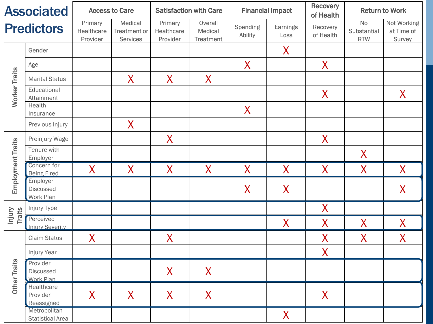| <b>Associated</b>        |                                                  |                                   | <b>Access to Care</b>                      | <b>Satisfaction with Care</b>     |                                 | <b>Financial Impact</b> |                  | <b>Recovery</b><br><b>Return to Work</b><br>of Health |                                        |                                     |
|--------------------------|--------------------------------------------------|-----------------------------------|--------------------------------------------|-----------------------------------|---------------------------------|-------------------------|------------------|-------------------------------------------------------|----------------------------------------|-------------------------------------|
|                          | <b>Predictors</b>                                | Primary<br>Healthcare<br>Provider | Medical<br><b>Treatment or</b><br>Services | Primary<br>Healthcare<br>Provider | Overall<br>Medical<br>Treatment | Spending<br>Ability     | Earnings<br>Loss | Recovery<br>of Health                                 | <b>No</b><br>Substantial<br><b>RTW</b> | Not Working<br>at Time of<br>Survey |
|                          | Gender                                           |                                   |                                            |                                   |                                 |                         | $\sf X$          |                                                       |                                        |                                     |
|                          | Age                                              |                                   |                                            |                                   |                                 | $\sf X$                 |                  | $\sf X$                                               |                                        |                                     |
|                          | <b>Marital Status</b>                            |                                   | $\sf X$                                    | $\sf X$                           | $\sf X$                         |                         |                  |                                                       |                                        |                                     |
| <b>Worker Traits</b>     | Educational<br>Attainment                        |                                   |                                            |                                   |                                 |                         |                  | X                                                     |                                        | $\mathsf{X}$                        |
|                          | Health<br>Insurance                              |                                   |                                            |                                   |                                 | $\sf X$                 |                  |                                                       |                                        |                                     |
|                          | Previous Injury                                  |                                   | $\bm{X}$                                   |                                   |                                 |                         |                  |                                                       |                                        |                                     |
|                          | Preinjury Wage                                   |                                   |                                            | X                                 |                                 |                         |                  | X                                                     |                                        |                                     |
| <b>Employment Traits</b> | Tenure with<br>Employer                          |                                   |                                            |                                   |                                 |                         |                  |                                                       | $\bm{X}$                               |                                     |
|                          | Concern for<br><b>Being Fired</b>                | X                                 | $\sf X$                                    | X                                 | $\sf X$                         | $\sf X$                 | $\sf X$          | $\sf X$                                               | X                                      | $\sf X$                             |
|                          | Employer<br><b>Discussed</b><br><b>Work Plan</b> |                                   |                                            |                                   |                                 | $\sf X$                 | $\sf X$          |                                                       |                                        | $\mathsf{X}$                        |
|                          | Injury Type                                      |                                   |                                            |                                   |                                 |                         |                  | $\sf X$                                               |                                        |                                     |
| Injury<br><b>Traits</b>  | Perceived<br><b>Injury Severity</b>              |                                   |                                            |                                   |                                 |                         | $\sf X$          | $\sf X$                                               | X                                      | $\sf X$                             |
|                          | <b>Claim Status</b>                              | $\bm{X}$                          |                                            | X                                 |                                 |                         |                  | X                                                     | X                                      | X                                   |
|                          | Injury Year                                      |                                   |                                            |                                   |                                 |                         |                  | $\sf X$                                               |                                        |                                     |
| <b>Other Traits</b>      | Provider<br>Discussed<br>Work Plan               |                                   |                                            | $\boldsymbol{X}$                  | $\boldsymbol{X}$                |                         |                  |                                                       |                                        |                                     |
|                          | Healthcare<br>Provider<br>Reassigned             | X                                 | $\mathsf{X}$                               | $\mathsf{X}$                      | $\bm{X}$                        |                         |                  | $\boldsymbol{X}$                                      |                                        |                                     |
|                          | Metropolitan<br><b>Statistical Area</b>          |                                   |                                            |                                   |                                 |                         | X                |                                                       |                                        |                                     |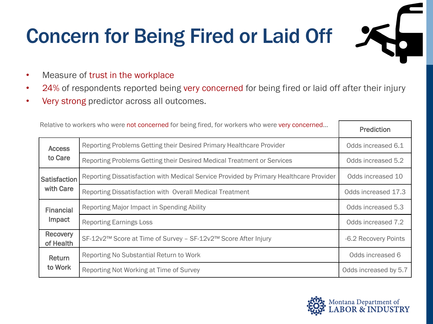## Concern for Being Fired or Laid Off

- Measure of trust in the workplace
- 24% of respondents reported being very concerned for being fired or laid off after their injury
- Very strong predictor across all outcomes.

| Relative to workers who were not concerned for being fired, for workers who were very concerned | <b>Prediction</b>                                                                      |                       |
|-------------------------------------------------------------------------------------------------|----------------------------------------------------------------------------------------|-----------------------|
| <b>Access</b>                                                                                   | Reporting Problems Getting their Desired Primary Healthcare Provider                   | Odds increased 6.1    |
| to Care                                                                                         | Reporting Problems Getting their Desired Medical Treatment or Services                 | Odds increased 5.2    |
| <b>Satisfaction</b>                                                                             | Reporting Dissatisfaction with Medical Service Provided by Primary Healthcare Provider | Odds increased 10     |
| with Care                                                                                       | Reporting Dissatisfaction with Overall Medical Treatment                               | Odds increased 17.3   |
| <b>Financial</b>                                                                                | Reporting Major Impact in Spending Ability                                             | Odds increased 5.3    |
| Impact                                                                                          | <b>Reporting Earnings Loss</b>                                                         | Odds increased 7.2    |
| Recovery<br>of Health                                                                           | SF-12v2™ Score at Time of Survey - SF-12v2™ Score After Injury                         | -6.2 Recovery Points  |
| Return                                                                                          | Reporting No Substantial Return to Work                                                | Odds increased 6      |
| to Work                                                                                         | Reporting Not Working at Time of Survey                                                | Odds increased by 5.7 |

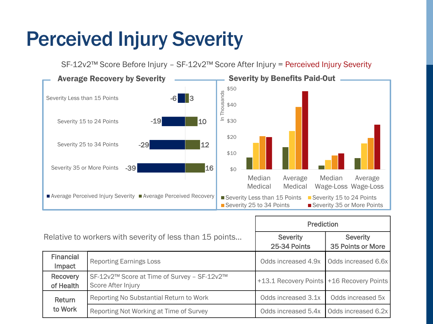### Perceived Injury Severity

SF-12v2™ Score Before Injury – SF-12v2™ Score After Injury = Perceived Injury Severity 41% **Severity Less than 15 Points** Average Perceived Injury Severity ■Average Perceived Recovery  $$0$ \$10 \$20 \$30 \$40 \$50 Median Medical Average Medical Wage-Loss Wage-Loss Median Average In Thousands Severity Less than 15 Points Severity 15 to 24 Points Severity 25 to 34 Points Severity 35 or More Points Severity by Benefits Paid-Out -39 -29 -19 -6 16 12 10 3 Severity 35 or More Points Severity 25 to 34 Points Severity 15 to 24 Points **Average Recovery by Severity** 

|                              |                                                                   | <b>Prediction</b>                           |                                      |  |
|------------------------------|-------------------------------------------------------------------|---------------------------------------------|--------------------------------------|--|
|                              | Relative to workers with severity of less than 15 points          | <b>Severity</b><br>25-34 Points             | <b>Severity</b><br>35 Points or More |  |
| <b>Financial</b><br>Impact   | <b>Reporting Earnings Loss</b>                                    | Odds increased 4.9x                         | Odds increased 6.6x                  |  |
| <b>Recovery</b><br>of Health | SF-12v2™ Score at Time of Survey - SF-12v2™<br>Score After Injury | +13.1 Recovery Points   +16 Recovery Points |                                      |  |
| Return<br>to Work            | Reporting No Substantial Return to Work                           | Odds increased 3.1x                         | Odds increased 5x                    |  |
|                              | Reporting Not Working at Time of Survey                           | Odds increased 5.4x                         | Odds increased 6.2x                  |  |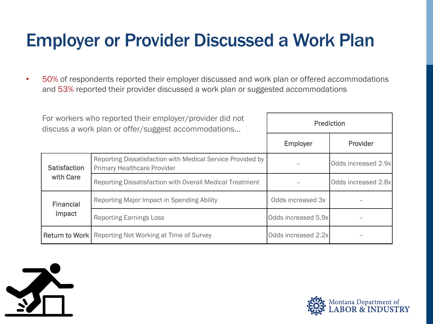#### Employer or Provider Discussed a Work Plan

• 50% of respondents reported their employer discussed and work plan or offered accommodations and 53% reported their provider discussed a work plan or suggested accommodations

| For workers who reported their employer/provider did not<br>discuss a work plan or offer/suggest accommodations |                                                                                                  | <b>Prediction</b>   |                     |  |
|-----------------------------------------------------------------------------------------------------------------|--------------------------------------------------------------------------------------------------|---------------------|---------------------|--|
|                                                                                                                 |                                                                                                  | <b>Employer</b>     | Provider            |  |
| <b>Satisfaction</b>                                                                                             | Reporting Dissatisfaction with Medical Service Provided by<br><b>Primary Healthcare Provider</b> |                     | Odds increased 2.9x |  |
| with Care                                                                                                       | Reporting Dissatisfaction with Overall Medical Treatment                                         |                     | Odds increased 2.8x |  |
| <b>Financial</b>                                                                                                | Reporting Major Impact in Spending Ability                                                       | Odds increased 3x   |                     |  |
| Impact                                                                                                          | <b>Reporting Earnings Loss</b>                                                                   | Odds increased 5.9x |                     |  |
| <b>Return to Work</b>                                                                                           | Reporting Not Working at Time of Survey                                                          | Odds increased 2.2x |                     |  |



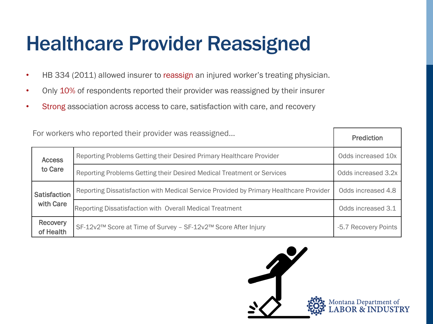### Healthcare Provider Reassigned

- HB 334 (2011) allowed insurer to reassign an injured worker's treating physician.
- Only 10% of respondents reported their provider was reassigned by their insurer
- Strong association across access to care, satisfaction with care, and recovery

| For workers who reported their provider was reassigned | <b>Prediction</b>                                                                      |                      |
|--------------------------------------------------------|----------------------------------------------------------------------------------------|----------------------|
| <b>Access</b>                                          | Reporting Problems Getting their Desired Primary Healthcare Provider                   | Odds increased 10x   |
| to Care                                                | Reporting Problems Getting their Desired Medical Treatment or Services                 | Odds increased 3.2x  |
| <b>Satisfaction</b><br>with Care                       | Reporting Dissatisfaction with Medical Service Provided by Primary Healthcare Provider | Odds increased 4.8   |
|                                                        | Reporting Dissatisfaction with Overall Medical Treatment                               | Odds increased 3.1   |
| <b>Recovery</b><br>of Health                           | SF-12v2™ Score at Time of Survey - SF-12v2™ Score After Injury                         | -5.7 Recovery Points |

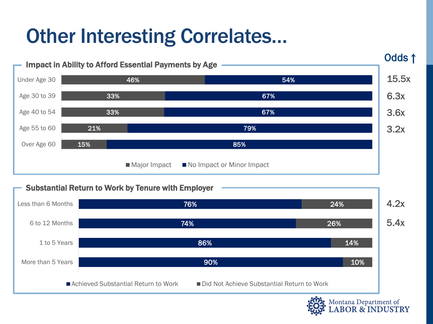### Other Interesting Correlates…



■ Achieved Substantial Return to Work ■ Did Not Achieve Substantial Return to Work

Montana Department of<br>LABOR & INDUSTRY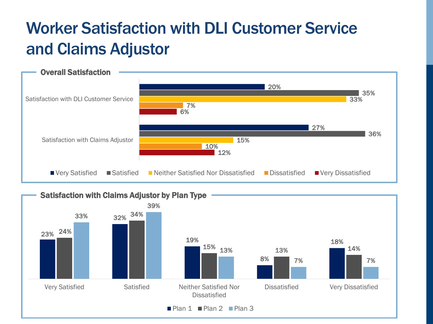#### Worker Satisfaction with DLI Customer Service and Claims Adjustor



Satisfaction with Claims Adjustor by Plan Type

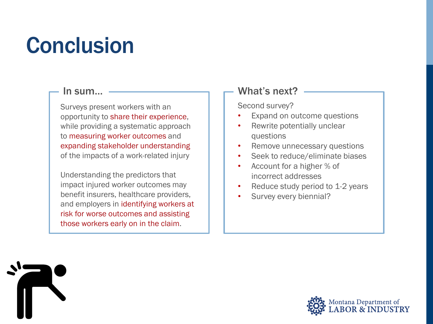## **Conclusion**

Surveys present workers with an opportunity to share their experience, while providing a systematic approach to measuring worker outcomes and expanding stakeholder understanding of the impacts of a work-related injury

Understanding the predictors that impact injured worker outcomes may benefit insurers, healthcare providers, and employers in identifying workers at risk for worse outcomes and assisting those workers early on in the claim.

#### $\mathsf{In} \text{ sum...}$   $\longrightarrow$  What's next?

Second survey?

- Expand on outcome questions
- Rewrite potentially unclear questions
- Remove unnecessary questions
- Seek to reduce/eliminate biases
- Account for a higher % of incorrect addresses
- Reduce study period to 1-2 years
- Survey every biennial?